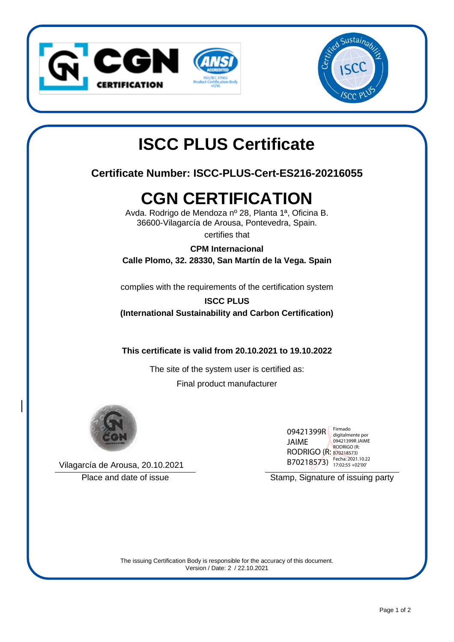



# **ISCC PLUS Certificate**

## **Certificate Number: ISCC-PLUS-Cert-ES216-20216055**

# **CGN CERTIFICATION**

Avda. Rodrigo de Mendoza nº 28, Planta 1ª, Oficina B. 36600-Vilagarcía de Arousa, Pontevedra, Spain.

certifies that

### **CPM Internacional**

**Calle Plomo, 32. 28330, San Martín de la Vega. Spain**

complies with the requirements of the certification system

## **ISCC PLUS (International Sustainability and Carbon Certification)**

**This certificate is valid from 20.10.2021 to 19.10.2022**

The site of the system user is certified as: Final product manufacturer



Vilagarcía de Arousa, 20.10.2021

| 09421399R              | Firmado<br>digitalmente por           |
|------------------------|---------------------------------------|
| JAIME                  | 09421399R JAIME                       |
| RODRIGO (R: B70218573) | <b>RODRIGO (R:</b>                    |
| B70218573)             | Fecha: 2021.10.22<br>17:02:55 +02'00' |

Place and date of issue notice is a set of interest Stamp, Signature of issuing party

The issuing Certification Body is responsible for the accuracy of this document. Version / Date: 2 / 22.10.2021